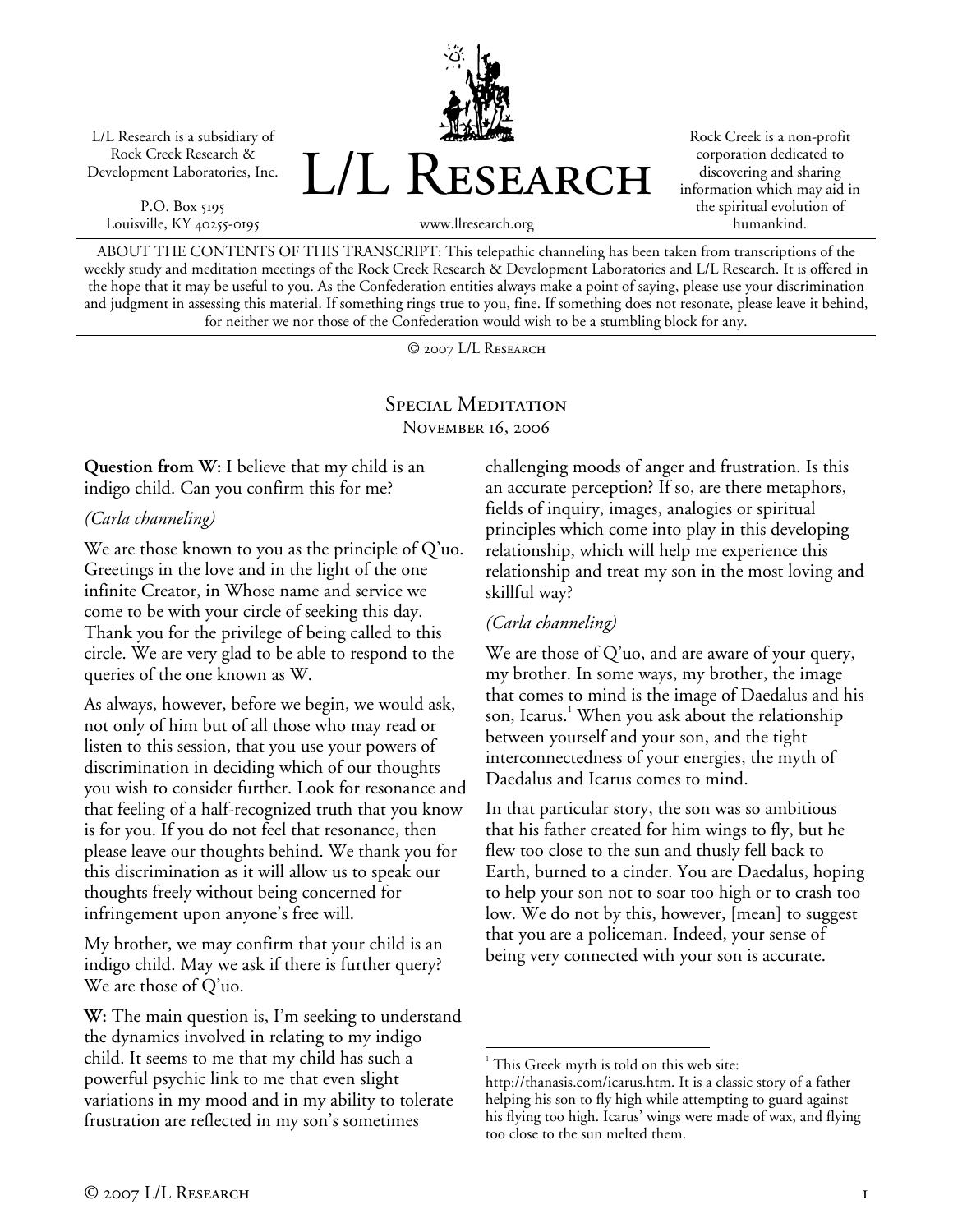L/L Research is a subsidiary of Rock Creek Research & Development Laboratories, Inc.

P.O. Box 5195 Louisville, KY 40255-0195



Rock Creek is a non-profit corporation dedicated to discovering and sharing information which may aid in the spiritual evolution of humankind.

www.llresearch.org

ABOUT THE CONTENTS OF THIS TRANSCRIPT: This telepathic channeling has been taken from transcriptions of the weekly study and meditation meetings of the Rock Creek Research & Development Laboratories and L/L Research. It is offered in the hope that it may be useful to you. As the Confederation entities always make a point of saying, please use your discrimination and judgment in assessing this material. If something rings true to you, fine. If something does not resonate, please leave it behind, for neither we nor those of the Confederation would wish to be a stumbling block for any.

© 2007 L/L Research

SPECIAL MEDITATION November 16, 2006

**Question from W:** I believe that my child is an indigo child. Can you confirm this for me?

*(Carla channeling)* 

We are those known to you as the principle of Q'uo. Greetings in the love and in the light of the one infinite Creator, in Whose name and service we come to be with your circle of seeking this day. Thank you for the privilege of being called to this circle. We are very glad to be able to respond to the queries of the one known as W.

As always, however, before we begin, we would ask, not only of him but of all those who may read or listen to this session, that you use your powers of discrimination in deciding which of our thoughts you wish to consider further. Look for resonance and that feeling of a half-recognized truth that you know is for you. If you do not feel that resonance, then please leave our thoughts behind. We thank you for this discrimination as it will allow us to speak our thoughts freely without being concerned for infringement upon anyone's free will.

My brother, we may confirm that your child is an indigo child. May we ask if there is further query? We are those of Q'uo.

**W:** The main question is, I'm seeking to understand the dynamics involved in relating to my indigo child. It seems to me that my child has such a powerful psychic link to me that even slight variations in my mood and in my ability to tolerate frustration are reflected in my son's sometimes

challenging moods of anger and frustration. Is this an accurate perception? If so, are there metaphors, fields of inquiry, images, analogies or spiritual principles which come into play in this developing relationship, which will help me experience this relationship and treat my son in the most loving and skillful way?

## *(Carla channeling)*

We are those of Q'uo, and are aware of your query, my brother. In some ways, my brother, the image that comes to mind is the image of Daedalus and his son, Icarus.<sup>1</sup> When you ask about the relationship between yourself and your son, and the tight interconnectedness of your energies, the myth of Daedalus and Icarus comes to mind.

In that particular story, the son was so ambitious that his father created for him wings to fly, but he flew too close to the sun and thusly fell back to Earth, burned to a cinder. You are Daedalus, hoping to help your son not to soar too high or to crash too low. We do not by this, however, [mean] to suggest that you are a policeman. Indeed, your sense of being very connected with your son is accurate.

 $\overline{a}$ 

<sup>&</sup>lt;sup>1</sup> This Greek myth is told on this web site:

http://thanasis.com/icarus.htm. It is a classic story of a father helping his son to fly high while attempting to guard against his flying too high. Icarus' wings were made of wax, and flying too close to the sun melted them.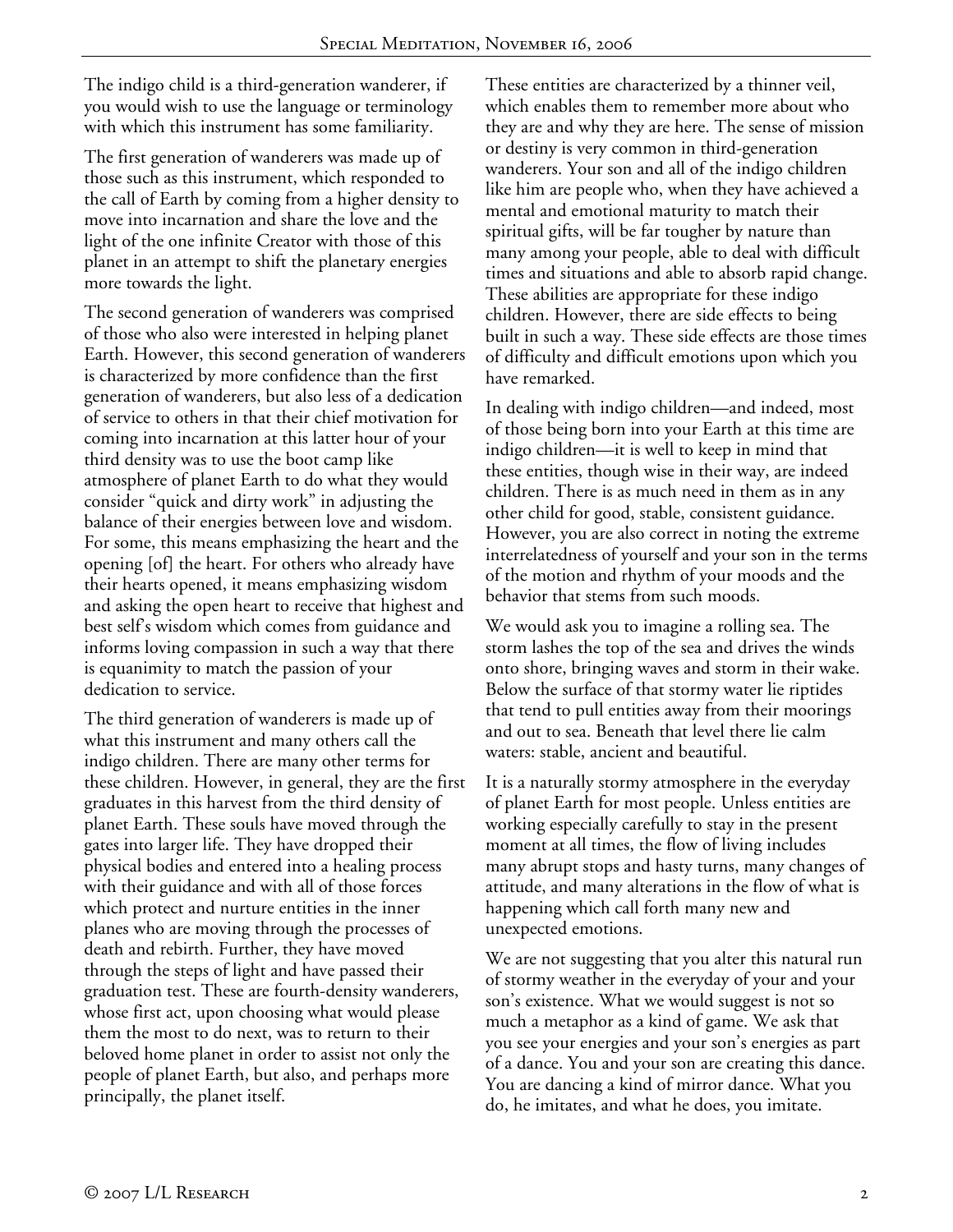The indigo child is a third-generation wanderer, if you would wish to use the language or terminology with which this instrument has some familiarity.

The first generation of wanderers was made up of those such as this instrument, which responded to the call of Earth by coming from a higher density to move into incarnation and share the love and the light of the one infinite Creator with those of this planet in an attempt to shift the planetary energies more towards the light.

The second generation of wanderers was comprised of those who also were interested in helping planet Earth. However, this second generation of wanderers is characterized by more confidence than the first generation of wanderers, but also less of a dedication of service to others in that their chief motivation for coming into incarnation at this latter hour of your third density was to use the boot camp like atmosphere of planet Earth to do what they would consider "quick and dirty work" in adjusting the balance of their energies between love and wisdom. For some, this means emphasizing the heart and the opening [of] the heart. For others who already have their hearts opened, it means emphasizing wisdom and asking the open heart to receive that highest and best self's wisdom which comes from guidance and informs loving compassion in such a way that there is equanimity to match the passion of your dedication to service.

The third generation of wanderers is made up of what this instrument and many others call the indigo children. There are many other terms for these children. However, in general, they are the first graduates in this harvest from the third density of planet Earth. These souls have moved through the gates into larger life. They have dropped their physical bodies and entered into a healing process with their guidance and with all of those forces which protect and nurture entities in the inner planes who are moving through the processes of death and rebirth. Further, they have moved through the steps of light and have passed their graduation test. These are fourth-density wanderers, whose first act, upon choosing what would please them the most to do next, was to return to their beloved home planet in order to assist not only the people of planet Earth, but also, and perhaps more principally, the planet itself.

These entities are characterized by a thinner veil, which enables them to remember more about who they are and why they are here. The sense of mission or destiny is very common in third-generation wanderers. Your son and all of the indigo children like him are people who, when they have achieved a mental and emotional maturity to match their spiritual gifts, will be far tougher by nature than many among your people, able to deal with difficult times and situations and able to absorb rapid change. These abilities are appropriate for these indigo children. However, there are side effects to being built in such a way. These side effects are those times of difficulty and difficult emotions upon which you have remarked.

In dealing with indigo children—and indeed, most of those being born into your Earth at this time are indigo children—it is well to keep in mind that these entities, though wise in their way, are indeed children. There is as much need in them as in any other child for good, stable, consistent guidance. However, you are also correct in noting the extreme interrelatedness of yourself and your son in the terms of the motion and rhythm of your moods and the behavior that stems from such moods.

We would ask you to imagine a rolling sea. The storm lashes the top of the sea and drives the winds onto shore, bringing waves and storm in their wake. Below the surface of that stormy water lie riptides that tend to pull entities away from their moorings and out to sea. Beneath that level there lie calm waters: stable, ancient and beautiful.

It is a naturally stormy atmosphere in the everyday of planet Earth for most people. Unless entities are working especially carefully to stay in the present moment at all times, the flow of living includes many abrupt stops and hasty turns, many changes of attitude, and many alterations in the flow of what is happening which call forth many new and unexpected emotions.

We are not suggesting that you alter this natural run of stormy weather in the everyday of your and your son's existence. What we would suggest is not so much a metaphor as a kind of game. We ask that you see your energies and your son's energies as part of a dance. You and your son are creating this dance. You are dancing a kind of mirror dance. What you do, he imitates, and what he does, you imitate.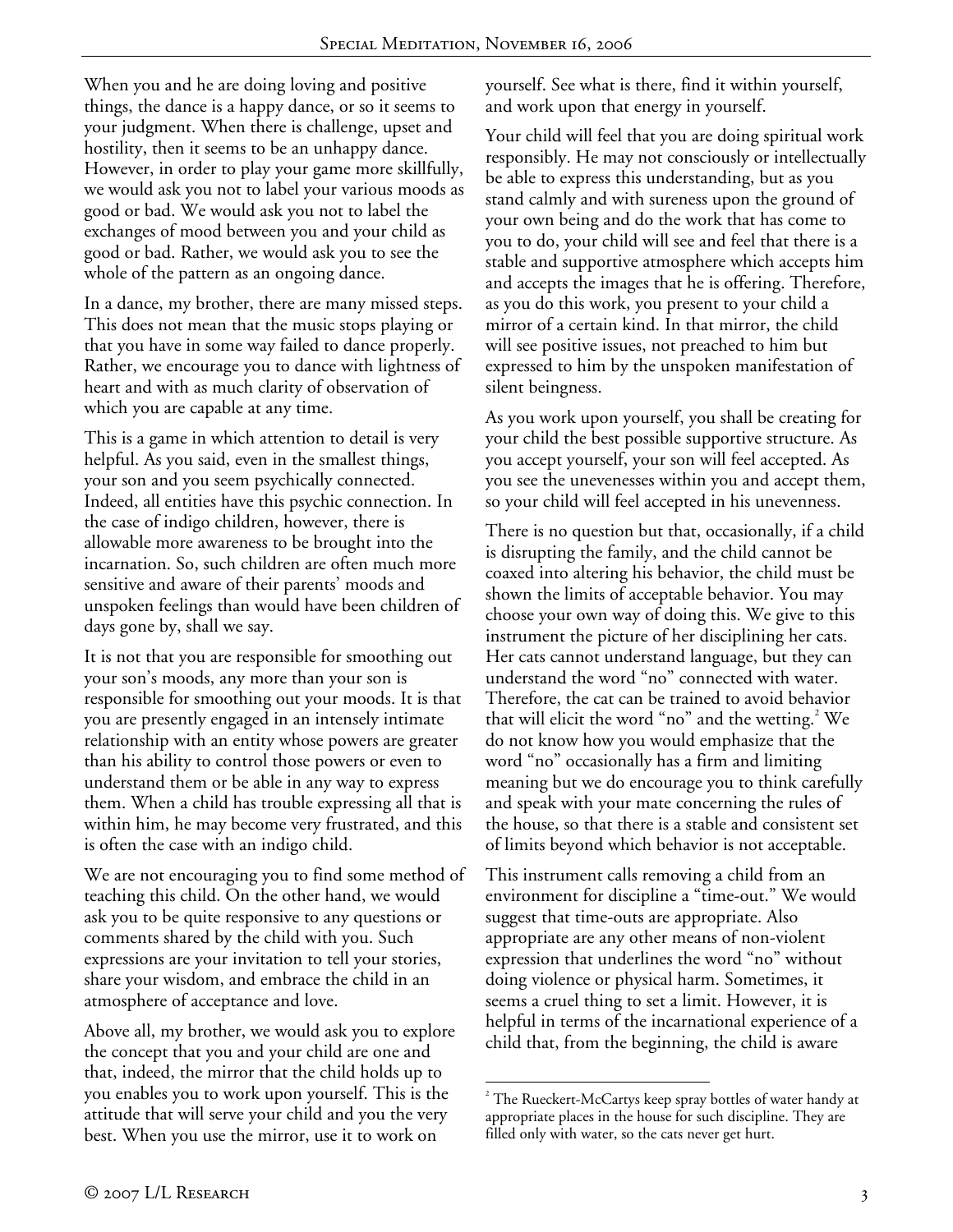When you and he are doing loving and positive things, the dance is a happy dance, or so it seems to your judgment. When there is challenge, upset and hostility, then it seems to be an unhappy dance. However, in order to play your game more skillfully, we would ask you not to label your various moods as good or bad. We would ask you not to label the exchanges of mood between you and your child as good or bad. Rather, we would ask you to see the whole of the pattern as an ongoing dance.

In a dance, my brother, there are many missed steps. This does not mean that the music stops playing or that you have in some way failed to dance properly. Rather, we encourage you to dance with lightness of heart and with as much clarity of observation of which you are capable at any time.

This is a game in which attention to detail is very helpful. As you said, even in the smallest things, your son and you seem psychically connected. Indeed, all entities have this psychic connection. In the case of indigo children, however, there is allowable more awareness to be brought into the incarnation. So, such children are often much more sensitive and aware of their parents' moods and unspoken feelings than would have been children of days gone by, shall we say.

It is not that you are responsible for smoothing out your son's moods, any more than your son is responsible for smoothing out your moods. It is that you are presently engaged in an intensely intimate relationship with an entity whose powers are greater than his ability to control those powers or even to understand them or be able in any way to express them. When a child has trouble expressing all that is within him, he may become very frustrated, and this is often the case with an indigo child.

We are not encouraging you to find some method of teaching this child. On the other hand, we would ask you to be quite responsive to any questions or comments shared by the child with you. Such expressions are your invitation to tell your stories, share your wisdom, and embrace the child in an atmosphere of acceptance and love.

Above all, my brother, we would ask you to explore the concept that you and your child are one and that, indeed, the mirror that the child holds up to you enables you to work upon yourself. This is the attitude that will serve your child and you the very best. When you use the mirror, use it to work on

yourself. See what is there, find it within yourself, and work upon that energy in yourself.

Your child will feel that you are doing spiritual work responsibly. He may not consciously or intellectually be able to express this understanding, but as you stand calmly and with sureness upon the ground of your own being and do the work that has come to you to do, your child will see and feel that there is a stable and supportive atmosphere which accepts him and accepts the images that he is offering. Therefore, as you do this work, you present to your child a mirror of a certain kind. In that mirror, the child will see positive issues, not preached to him but expressed to him by the unspoken manifestation of silent beingness.

As you work upon yourself, you shall be creating for your child the best possible supportive structure. As you accept yourself, your son will feel accepted. As you see the unevenesses within you and accept them, so your child will feel accepted in his unevenness.

There is no question but that, occasionally, if a child is disrupting the family, and the child cannot be coaxed into altering his behavior, the child must be shown the limits of acceptable behavior. You may choose your own way of doing this. We give to this instrument the picture of her disciplining her cats. Her cats cannot understand language, but they can understand the word "no" connected with water. Therefore, the cat can be trained to avoid behavior that will elicit the word "no" and the wetting. $2$  We do not know how you would emphasize that the word "no" occasionally has a firm and limiting meaning but we do encourage you to think carefully and speak with your mate concerning the rules of the house, so that there is a stable and consistent set of limits beyond which behavior is not acceptable.

This instrument calls removing a child from an environment for discipline a "time-out." We would suggest that time-outs are appropriate. Also appropriate are any other means of non-violent expression that underlines the word "no" without doing violence or physical harm. Sometimes, it seems a cruel thing to set a limit. However, it is helpful in terms of the incarnational experience of a child that, from the beginning, the child is aware

<sup>1</sup>  $2^{2}$  The Rueckert-McCartys keep spray bottles of water handy at appropriate places in the house for such discipline. They are filled only with water, so the cats never get hurt.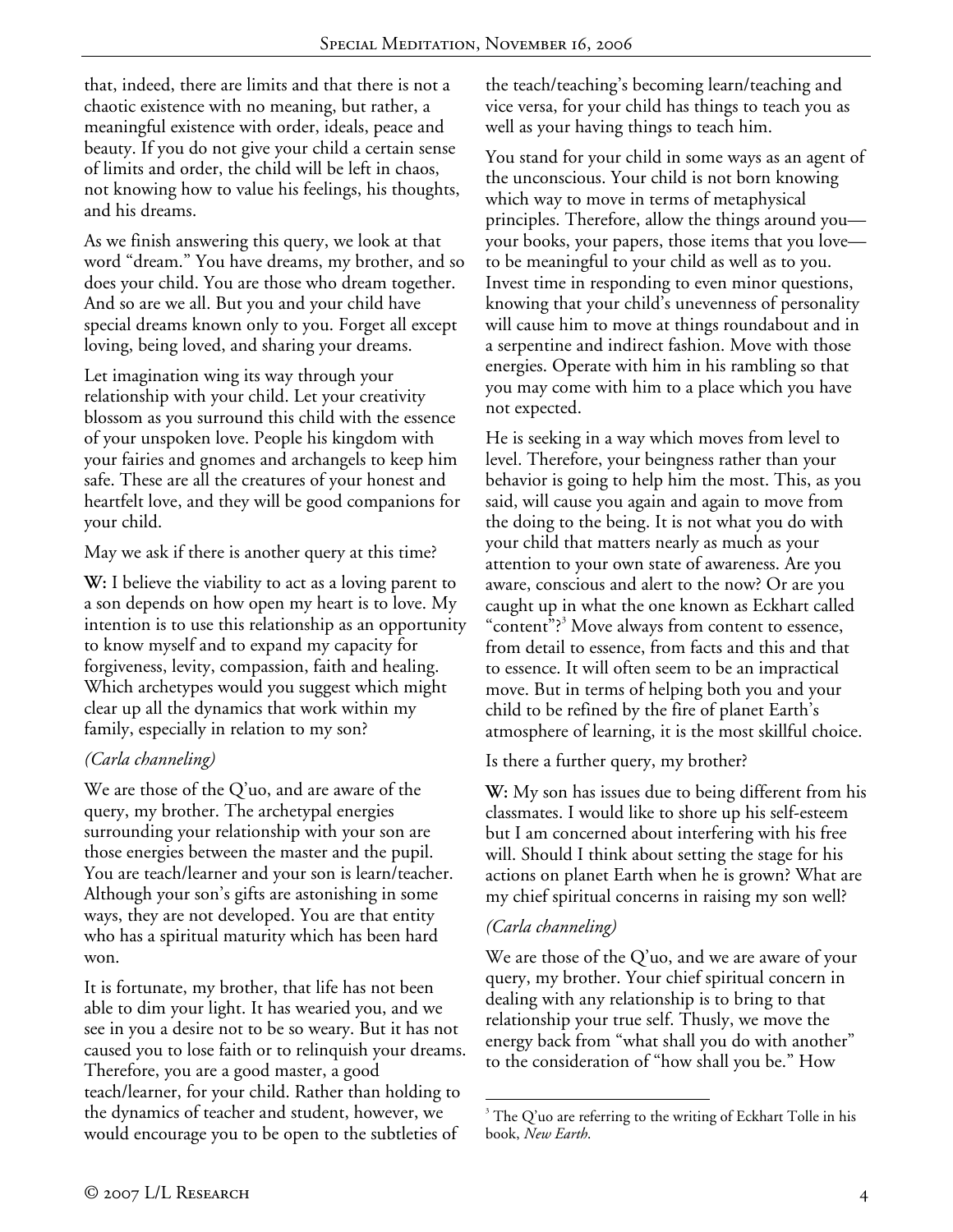that, indeed, there are limits and that there is not a chaotic existence with no meaning, but rather, a meaningful existence with order, ideals, peace and beauty. If you do not give your child a certain sense of limits and order, the child will be left in chaos, not knowing how to value his feelings, his thoughts, and his dreams.

As we finish answering this query, we look at that word "dream." You have dreams, my brother, and so does your child. You are those who dream together. And so are we all. But you and your child have special dreams known only to you. Forget all except loving, being loved, and sharing your dreams.

Let imagination wing its way through your relationship with your child. Let your creativity blossom as you surround this child with the essence of your unspoken love. People his kingdom with your fairies and gnomes and archangels to keep him safe. These are all the creatures of your honest and heartfelt love, and they will be good companions for your child.

May we ask if there is another query at this time?

**W:** I believe the viability to act as a loving parent to a son depends on how open my heart is to love. My intention is to use this relationship as an opportunity to know myself and to expand my capacity for forgiveness, levity, compassion, faith and healing. Which archetypes would you suggest which might clear up all the dynamics that work within my family, especially in relation to my son?

## *(Carla channeling)*

We are those of the Q'uo, and are aware of the query, my brother. The archetypal energies surrounding your relationship with your son are those energies between the master and the pupil. You are teach/learner and your son is learn/teacher. Although your son's gifts are astonishing in some ways, they are not developed. You are that entity who has a spiritual maturity which has been hard won.

It is fortunate, my brother, that life has not been able to dim your light. It has wearied you, and we see in you a desire not to be so weary. But it has not caused you to lose faith or to relinquish your dreams. Therefore, you are a good master, a good teach/learner, for your child. Rather than holding to the dynamics of teacher and student, however, we would encourage you to be open to the subtleties of

the teach/teaching's becoming learn/teaching and vice versa, for your child has things to teach you as well as your having things to teach him.

You stand for your child in some ways as an agent of the unconscious. Your child is not born knowing which way to move in terms of metaphysical principles. Therefore, allow the things around you your books, your papers, those items that you love to be meaningful to your child as well as to you. Invest time in responding to even minor questions, knowing that your child's unevenness of personality will cause him to move at things roundabout and in a serpentine and indirect fashion. Move with those energies. Operate with him in his rambling so that you may come with him to a place which you have not expected.

He is seeking in a way which moves from level to level. Therefore, your beingness rather than your behavior is going to help him the most. This, as you said, will cause you again and again to move from the doing to the being. It is not what you do with your child that matters nearly as much as your attention to your own state of awareness. Are you aware, conscious and alert to the now? Or are you caught up in what the one known as Eckhart called "content"?<sup>3</sup> Move always from content to essence, from detail to essence, from facts and this and that to essence. It will often seem to be an impractical move. But in terms of helping both you and your child to be refined by the fire of planet Earth's atmosphere of learning, it is the most skillful choice.

Is there a further query, my brother?

**W:** My son has issues due to being different from his classmates. I would like to shore up his self-esteem but I am concerned about interfering with his free will. Should I think about setting the stage for his actions on planet Earth when he is grown? What are my chief spiritual concerns in raising my son well?

## *(Carla channeling)*

We are those of the Q'uo, and we are aware of your query, my brother. Your chief spiritual concern in dealing with any relationship is to bring to that relationship your true self. Thusly, we move the energy back from "what shall you do with another" to the consideration of "how shall you be." How

 $\overline{a}$  $3$  The Q'uo are referring to the writing of Eckhart Tolle in his book, *New Earth*.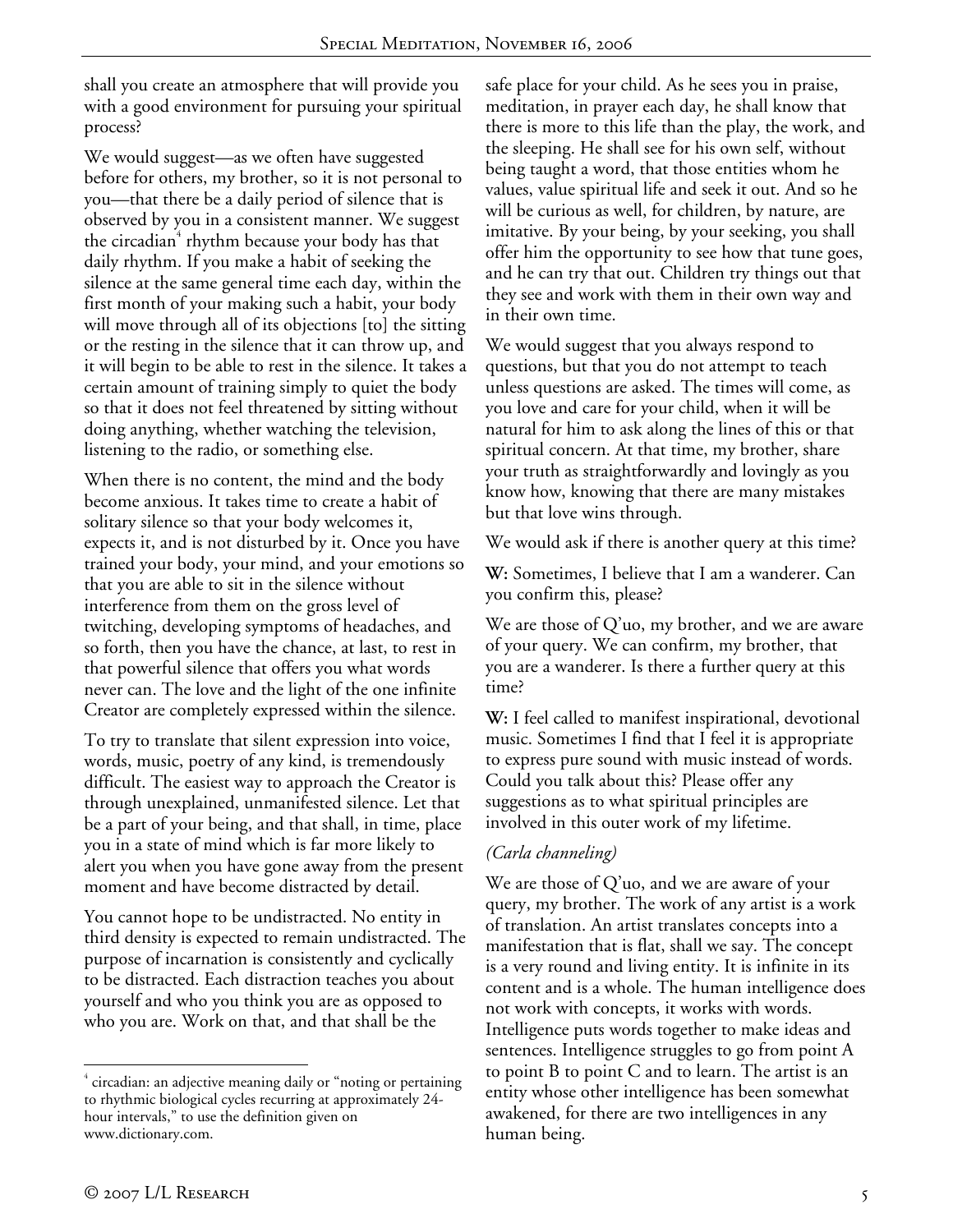shall you create an atmosphere that will provide you with a good environment for pursuing your spiritual process?

We would suggest—as we often have suggested before for others, my brother, so it is not personal to you—that there be a daily period of silence that is observed by you in a consistent manner. We suggest the circadian<sup>4</sup> rhythm because your body has that daily rhythm. If you make a habit of seeking the silence at the same general time each day, within the first month of your making such a habit, your body will move through all of its objections [to] the sitting or the resting in the silence that it can throw up, and it will begin to be able to rest in the silence. It takes a certain amount of training simply to quiet the body so that it does not feel threatened by sitting without doing anything, whether watching the television, listening to the radio, or something else.

When there is no content, the mind and the body become anxious. It takes time to create a habit of solitary silence so that your body welcomes it, expects it, and is not disturbed by it. Once you have trained your body, your mind, and your emotions so that you are able to sit in the silence without interference from them on the gross level of twitching, developing symptoms of headaches, and so forth, then you have the chance, at last, to rest in that powerful silence that offers you what words never can. The love and the light of the one infinite Creator are completely expressed within the silence.

To try to translate that silent expression into voice, words, music, poetry of any kind, is tremendously difficult. The easiest way to approach the Creator is through unexplained, unmanifested silence. Let that be a part of your being, and that shall, in time, place you in a state of mind which is far more likely to alert you when you have gone away from the present moment and have become distracted by detail.

You cannot hope to be undistracted. No entity in third density is expected to remain undistracted. The purpose of incarnation is consistently and cyclically to be distracted. Each distraction teaches you about yourself and who you think you are as opposed to who you are. Work on that, and that shall be the

safe place for your child. As he sees you in praise, meditation, in prayer each day, he shall know that there is more to this life than the play, the work, and the sleeping. He shall see for his own self, without being taught a word, that those entities whom he values, value spiritual life and seek it out. And so he will be curious as well, for children, by nature, are imitative. By your being, by your seeking, you shall offer him the opportunity to see how that tune goes, and he can try that out. Children try things out that they see and work with them in their own way and in their own time.

We would suggest that you always respond to questions, but that you do not attempt to teach unless questions are asked. The times will come, as you love and care for your child, when it will be natural for him to ask along the lines of this or that spiritual concern. At that time, my brother, share your truth as straightforwardly and lovingly as you know how, knowing that there are many mistakes but that love wins through.

We would ask if there is another query at this time?

**W:** Sometimes, I believe that I am a wanderer. Can you confirm this, please?

We are those of Q'uo, my brother, and we are aware of your query. We can confirm, my brother, that you are a wanderer. Is there a further query at this time?

**W:** I feel called to manifest inspirational, devotional music. Sometimes I find that I feel it is appropriate to express pure sound with music instead of words. Could you talk about this? Please offer any suggestions as to what spiritual principles are involved in this outer work of my lifetime.

## *(Carla channeling)*

We are those of Q'uo, and we are aware of your query, my brother. The work of any artist is a work of translation. An artist translates concepts into a manifestation that is flat, shall we say. The concept is a very round and living entity. It is infinite in its content and is a whole. The human intelligence does not work with concepts, it works with words. Intelligence puts words together to make ideas and sentences. Intelligence struggles to go from point A to point B to point C and to learn. The artist is an entity whose other intelligence has been somewhat awakened, for there are two intelligences in any human being.

 $\overline{a}$ 

<sup>&</sup>lt;sup>4</sup> circadian: an adjective meaning daily or "noting or pertaining to rhythmic biological cycles recurring at approximately 24 hour intervals," to use the definition given on www.dictionary.com.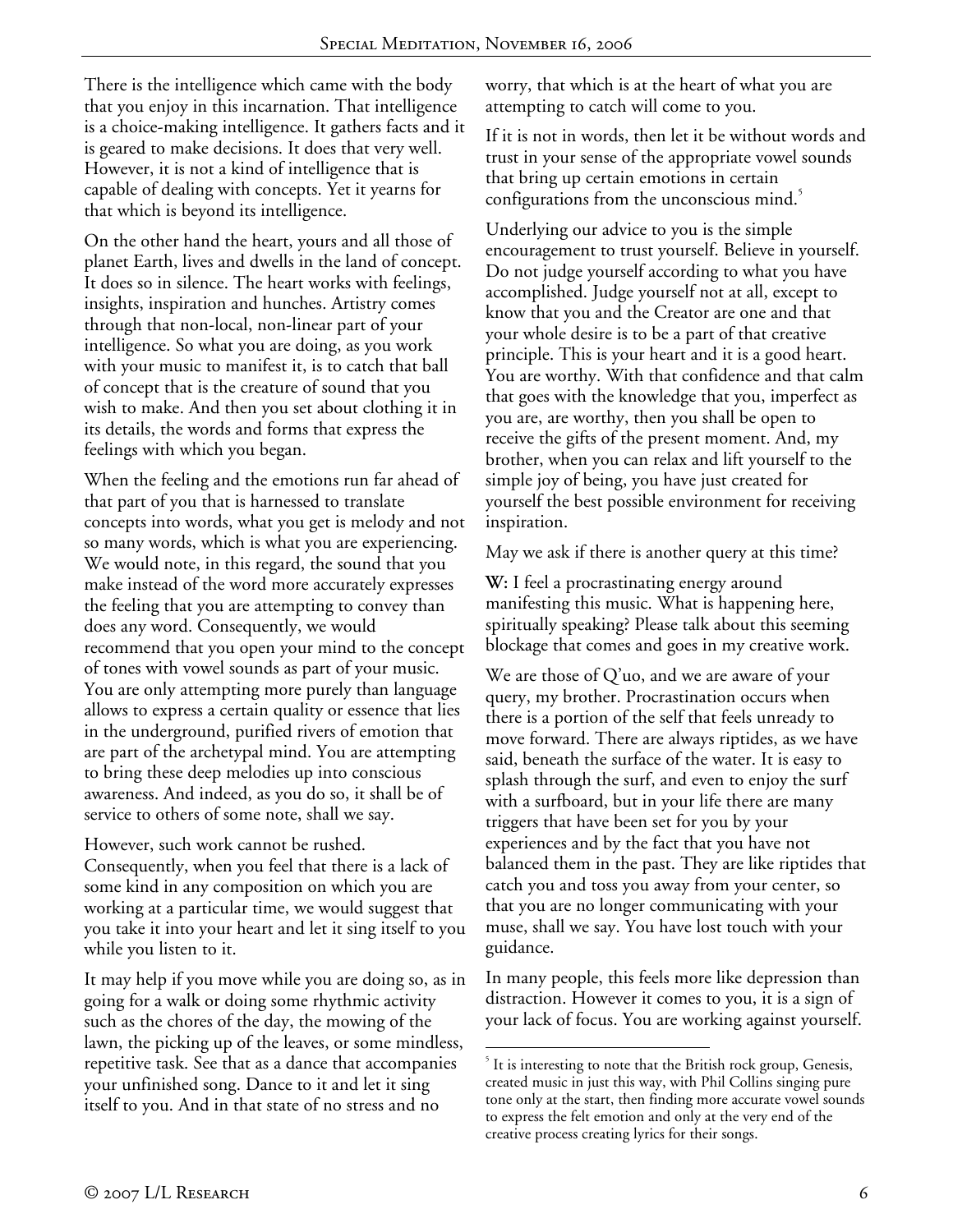There is the intelligence which came with the body that you enjoy in this incarnation. That intelligence is a choice-making intelligence. It gathers facts and it is geared to make decisions. It does that very well. However, it is not a kind of intelligence that is capable of dealing with concepts. Yet it yearns for that which is beyond its intelligence.

On the other hand the heart, yours and all those of planet Earth, lives and dwells in the land of concept. It does so in silence. The heart works with feelings, insights, inspiration and hunches. Artistry comes through that non-local, non-linear part of your intelligence. So what you are doing, as you work with your music to manifest it, is to catch that ball of concept that is the creature of sound that you wish to make. And then you set about clothing it in its details, the words and forms that express the feelings with which you began.

When the feeling and the emotions run far ahead of that part of you that is harnessed to translate concepts into words, what you get is melody and not so many words, which is what you are experiencing. We would note, in this regard, the sound that you make instead of the word more accurately expresses the feeling that you are attempting to convey than does any word. Consequently, we would recommend that you open your mind to the concept of tones with vowel sounds as part of your music. You are only attempting more purely than language allows to express a certain quality or essence that lies in the underground, purified rivers of emotion that are part of the archetypal mind. You are attempting to bring these deep melodies up into conscious awareness. And indeed, as you do so, it shall be of service to others of some note, shall we say.

However, such work cannot be rushed. Consequently, when you feel that there is a lack of some kind in any composition on which you are working at a particular time, we would suggest that you take it into your heart and let it sing itself to you while you listen to it.

It may help if you move while you are doing so, as in going for a walk or doing some rhythmic activity such as the chores of the day, the mowing of the lawn, the picking up of the leaves, or some mindless, repetitive task. See that as a dance that accompanies your unfinished song. Dance to it and let it sing itself to you. And in that state of no stress and no

worry, that which is at the heart of what you are attempting to catch will come to you.

If it is not in words, then let it be without words and trust in your sense of the appropriate vowel sounds that bring up certain emotions in certain configurations from the unconscious mind.<sup>3</sup>

Underlying our advice to you is the simple encouragement to trust yourself. Believe in yourself. Do not judge yourself according to what you have accomplished. Judge yourself not at all, except to know that you and the Creator are one and that your whole desire is to be a part of that creative principle. This is your heart and it is a good heart. You are worthy. With that confidence and that calm that goes with the knowledge that you, imperfect as you are, are worthy, then you shall be open to receive the gifts of the present moment. And, my brother, when you can relax and lift yourself to the simple joy of being, you have just created for yourself the best possible environment for receiving inspiration.

May we ask if there is another query at this time?

**W:** I feel a procrastinating energy around manifesting this music. What is happening here, spiritually speaking? Please talk about this seeming blockage that comes and goes in my creative work.

We are those of Q'uo, and we are aware of your query, my brother. Procrastination occurs when there is a portion of the self that feels unready to move forward. There are always riptides, as we have said, beneath the surface of the water. It is easy to splash through the surf, and even to enjoy the surf with a surfboard, but in your life there are many triggers that have been set for you by your experiences and by the fact that you have not balanced them in the past. They are like riptides that catch you and toss you away from your center, so that you are no longer communicating with your muse, shall we say. You have lost touch with your guidance.

In many people, this feels more like depression than distraction. However it comes to you, it is a sign of your lack of focus. You are working against yourself.

<sup>1</sup> <sup>5</sup> It is interesting to note that the British rock group, Genesis, created music in just this way, with Phil Collins singing pure tone only at the start, then finding more accurate vowel sounds to express the felt emotion and only at the very end of the creative process creating lyrics for their songs.